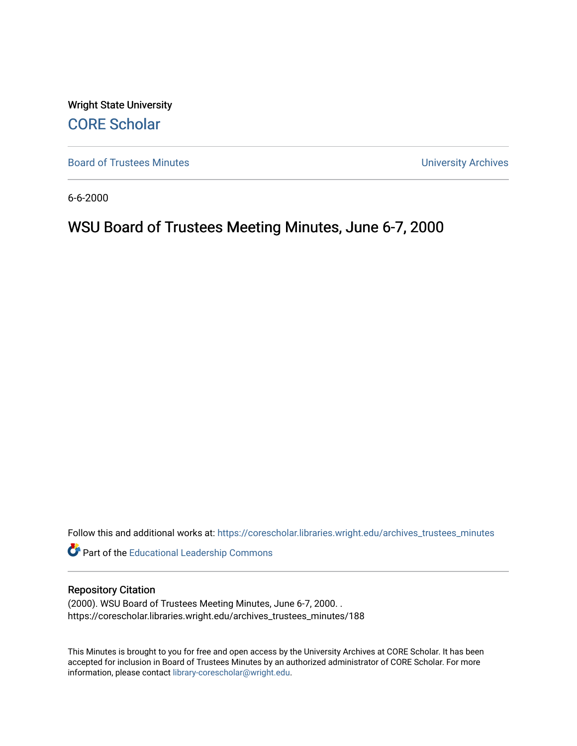Wright State University [CORE Scholar](https://corescholar.libraries.wright.edu/)

[Board of Trustees Minutes](https://corescholar.libraries.wright.edu/archives_trustees_minutes) **Exercise 2018** Solution 2018 10:30 Minutes University Archives

6-6-2000

# WSU Board of Trustees Meeting Minutes, June 6-7, 2000

Follow this and additional works at: [https://corescholar.libraries.wright.edu/archives\\_trustees\\_minutes](https://corescholar.libraries.wright.edu/archives_trustees_minutes?utm_source=corescholar.libraries.wright.edu%2Farchives_trustees_minutes%2F188&utm_medium=PDF&utm_campaign=PDFCoverPages) 

Part of the [Educational Leadership Commons](http://network.bepress.com/hgg/discipline/1230?utm_source=corescholar.libraries.wright.edu%2Farchives_trustees_minutes%2F188&utm_medium=PDF&utm_campaign=PDFCoverPages) 

#### Repository Citation

(2000). WSU Board of Trustees Meeting Minutes, June 6-7, 2000. . https://corescholar.libraries.wright.edu/archives\_trustees\_minutes/188

This Minutes is brought to you for free and open access by the University Archives at CORE Scholar. It has been accepted for inclusion in Board of Trustees Minutes by an authorized administrator of CORE Scholar. For more information, please contact [library-corescholar@wright.edu.](mailto:library-corescholar@wright.edu)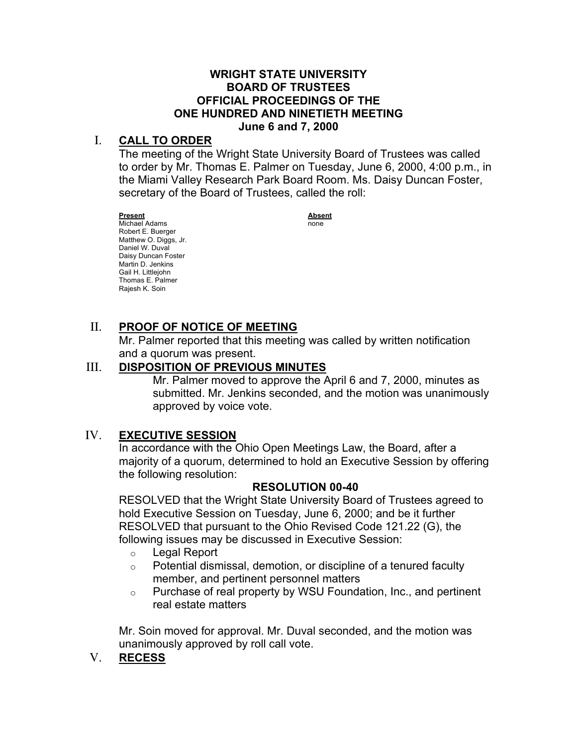#### **BOARD OF TRUSTEES OFFICIAL PROCEEDINGS OF THE ONE HUNDRED AND NINETIETH MEETING WRIGHT STATE UNIVERSITY June 6 and 7, 2000**

## I. **CALL TO ORDER**

 The meeting of the Wright State University Board of Trustees was called to order by Mr. Thomas E. Palmer on Tuesday, June 6, 2000, 4:00 p.m., in the Miami Valley Research Park Board Room. Ms. Daisy Duncan Foster, secretary of the Board of Trustees, called the roll:

 Robert E. Buerger Matthew O. Diggs, Jr. Daniel W. Duval Daisy Duncan Foster Martin D. Jenkins Gail H. Littlejohn Thomas E. Palmer Rajesh K. Soin **Present Absent** Michael Adams none

## II. **PROOF OF NOTICE OF MEETING**

 Mr. Palmer reported that this meeting was called by written notification and a quorum was present.

# III. **DISPOSITION OF PREVIOUS MINUTES**

 Mr. Palmer moved to approve the April 6 and 7, 2000, minutes as submitted. Mr. Jenkins seconded, and the motion was unanimously approved by voice vote.

## IV. **EXECUTIVE SESSION**

 In accordance with the Ohio Open Meetings Law, the Board, after a majority of a quorum, determined to hold an Executive Session by offering the following resolution:

#### **RESOLUTION 00-40**

 RESOLVED that the Wright State University Board of Trustees agreed to hold Executive Session on Tuesday, June 6, 2000; and be it further RESOLVED that pursuant to the Ohio Revised Code 121.22 (G), the following issues may be discussed in Executive Session:

- o Legal Report
- $\circ$  Potential dismissal, demotion, or discipline of a tenured faculty member, and pertinent personnel matters
- $\circ$  Purchase of real property by WSU Foundation, Inc., and pertinent real estate matters

 Mr. Soin moved for approval. Mr. Duval seconded, and the motion was unanimously approved by roll call vote.

V. **RECESS**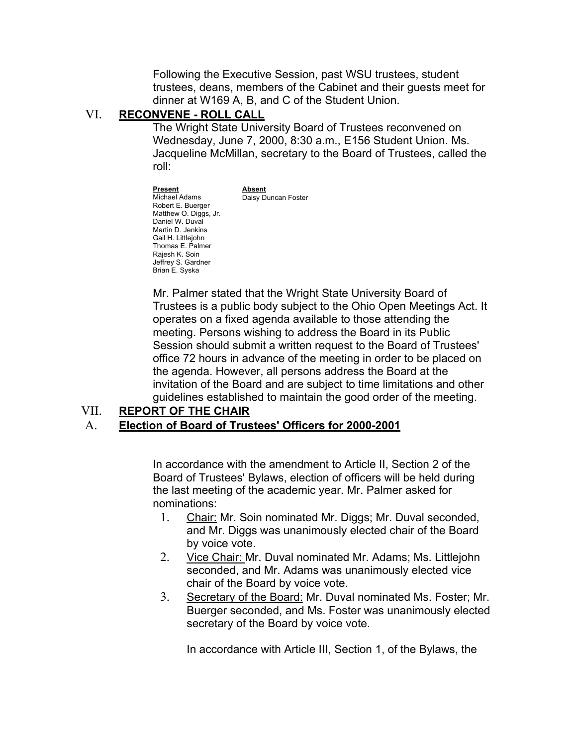Following the Executive Session, past WSU trustees, student trustees, deans, members of the Cabinet and their guests meet for dinner at W169 A, B, and C of the Student Union.

#### VI. **RECONVENE - ROLL CALL**

 The Wright State University Board of Trustees reconvened on Wednesday, June 7, 2000, 8:30 a.m., E156 Student Union. Ms. Jacqueline McMillan, secretary to the Board of Trustees, called the roll:

 Robert E. Buerger Matthew O. Diggs, Jr. Daniel W. Duval Martin D. Jenkins Gail H. Littlejohn Thomas E. Palmer Rajesh K. Soin Jeffrey S. Gardner Brian E. Syska Michael Adams **Daisy Duncan Foster Present Absent**<br>Michael Adams **Absent** 

 Mr. Palmer stated that the Wright State University Board of Trustees is a public body subject to the Ohio Open Meetings Act. It operates on a fixed agenda available to those attending the meeting. Persons wishing to address the Board in its Public Session should submit a written request to the Board of Trustees' office 72 hours in advance of the meeting in order to be placed on the agenda. However, all persons address the Board at the invitation of the Board and are subject to time limitations and other guidelines established to maintain the good order of the meeting.

#### VII. **REPORT OF THE CHAIR**

#### A. **Election of Board of Trustees' Officers for 2000-2001**

 In accordance with the amendment to Article II, Section 2 of the Board of Trustees' Bylaws, election of officers will be held during the last meeting of the academic year. Mr. Palmer asked for nominations:

- 1. Chair: Mr. Soin nominated Mr. Diggs; Mr. Duval seconded, and Mr. Diggs was unanimously elected chair of the Board by voice vote.
- 2. Vice Chair: Mr. Duval nominated Mr. Adams; Ms. Littlejohn seconded, and Mr. Adams was unanimously elected vice chair of the Board by voice vote.
- 3. Secretary of the Board: Mr. Duval nominated Ms. Foster; Mr. Buerger seconded, and Ms. Foster was unanimously elected secretary of the Board by voice vote.

In accordance with Article III, Section 1, of the Bylaws, the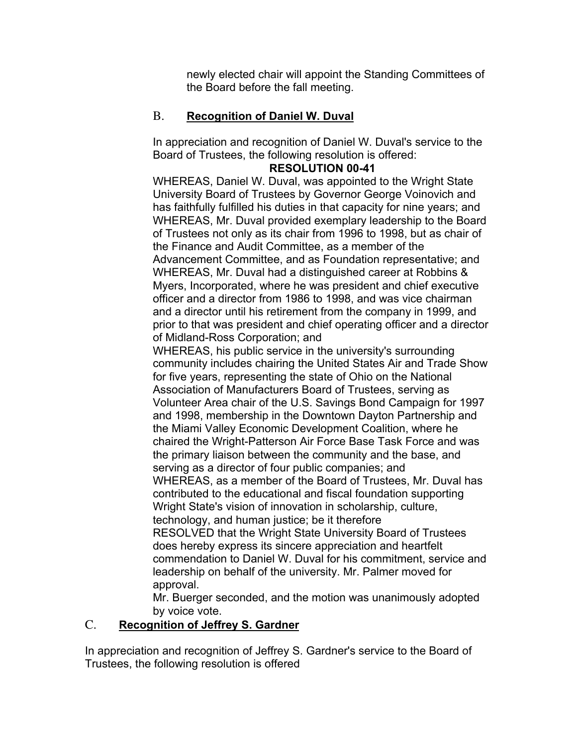newly elected chair will appoint the Standing Committees of the Board before the fall meeting.

## B. **Recognition of Daniel W. Duval**

 In appreciation and recognition of Daniel W. Duval's service to the Board of Trustees, the following resolution is offered:

## **RESOLUTION 00-41**

 WHEREAS, Daniel W. Duval, was appointed to the Wright State University Board of Trustees by Governor George Voinovich and has faithfully fulfilled his duties in that capacity for nine years; and WHEREAS, Mr. Duval provided exemplary leadership to the Board of Trustees not only as its chair from 1996 to 1998, but as chair of the Finance and Audit Committee, as a member of the Advancement Committee, and as Foundation representative; and WHEREAS, Mr. Duval had a distinguished career at Robbins & Myers, Incorporated, where he was president and chief executive officer and a director from 1986 to 1998, and was vice chairman and a director until his retirement from the company in 1999, and prior to that was president and chief operating officer and a director of Midland-Ross Corporation; and

 WHEREAS, his public service in the university's surrounding community includes chairing the United States Air and Trade Show for five years, representing the state of Ohio on the National Association of Manufacturers Board of Trustees, serving as Volunteer Area chair of the U.S. Savings Bond Campaign for 1997 and 1998, membership in the Downtown Dayton Partnership and the Miami Valley Economic Development Coalition, where he chaired the Wright-Patterson Air Force Base Task Force and was the primary liaison between the community and the base, and serving as a director of four public companies; and WHEREAS, as a member of the Board of Trustees, Mr. Duval has contributed to the educational and fiscal foundation supporting Wright State's vision of innovation in scholarship, culture, technology, and human justice; be it therefore RESOLVED that the Wright State University Board of Trustees does hereby express its sincere appreciation and heartfelt commendation to Daniel W. Duval for his commitment, service and leadership on behalf of the university. Mr. Palmer moved for approval.

 Mr. Buerger seconded, and the motion was unanimously adopted by voice vote.

## C. **Recognition of Jeffrey S. Gardner**

 In appreciation and recognition of Jeffrey S. Gardner's service to the Board of Trustees, the following resolution is offered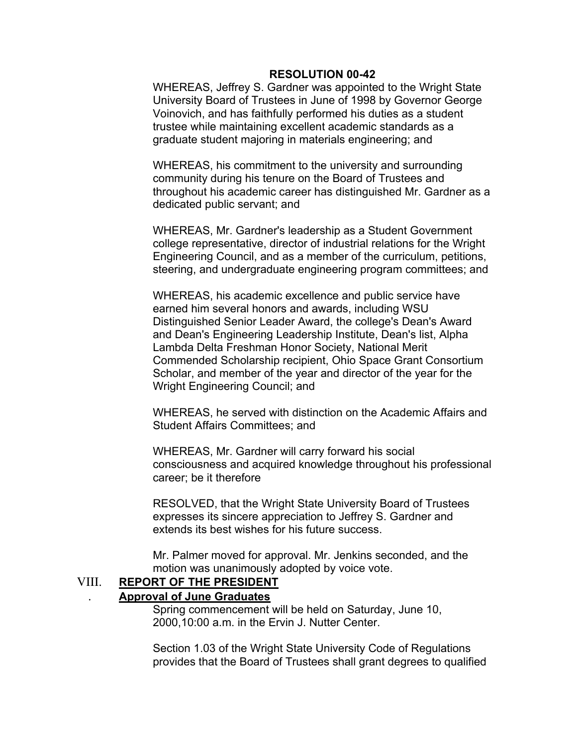#### **RESOLUTION 00-42**

 WHEREAS, Jeffrey S. Gardner was appointed to the Wright State University Board of Trustees in June of 1998 by Governor George Voinovich, and has faithfully performed his duties as a student trustee while maintaining excellent academic standards as a graduate student majoring in materials engineering; and

 WHEREAS, his commitment to the university and surrounding community during his tenure on the Board of Trustees and throughout his academic career has distinguished Mr. Gardner as a dedicated public servant; and

 WHEREAS, Mr. Gardner's leadership as a Student Government college representative, director of industrial relations for the Wright Engineering Council, and as a member of the curriculum, petitions, steering, and undergraduate engineering program committees; and

 WHEREAS, his academic excellence and public service have earned him several honors and awards, including WSU Distinguished Senior Leader Award, the college's Dean's Award and Dean's Engineering Leadership Institute, Dean's list, Alpha Lambda Delta Freshman Honor Society, National Merit Commended Scholarship recipient, Ohio Space Grant Consortium Scholar, and member of the year and director of the year for the Wright Engineering Council; and

 WHEREAS, he served with distinction on the Academic Affairs and Student Affairs Committees; and

 WHEREAS, Mr. Gardner will carry forward his social consciousness and acquired knowledge throughout his professional career; be it therefore

 RESOLVED, that the Wright State University Board of Trustees expresses its sincere appreciation to Jeffrey S. Gardner and extends its best wishes for his future success.

 Mr. Palmer moved for approval. Mr. Jenkins seconded, and the motion was unanimously adopted by voice vote.

#### VIII. **REPORT OF THE PRESIDENT**  . **Approval of June Graduates**

 Spring commencement will be held on Saturday, June 10, 2000,10:00 a.m. in the Ervin J. Nutter Center.

 Section 1.03 of the Wright State University Code of Regulations provides that the Board of Trustees shall grant degrees to qualified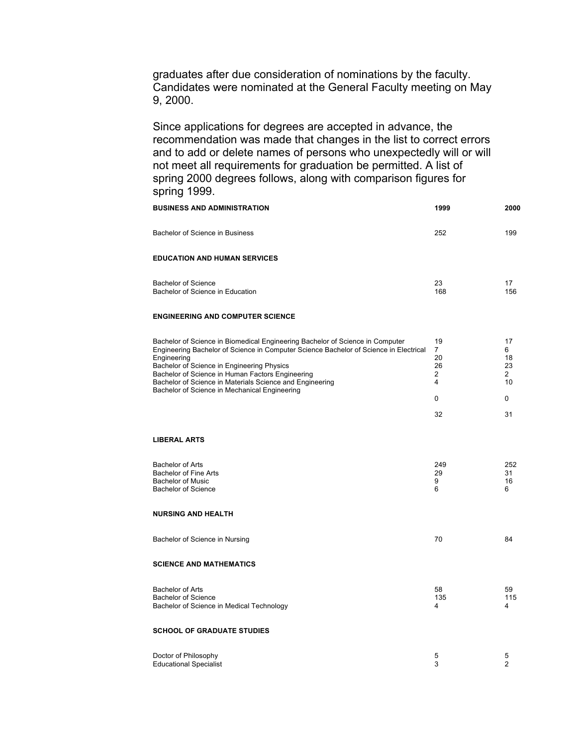graduates after due consideration of nominations by the faculty. Candidates were nominated at the General Faculty meeting on May 9, 2000. 9, 2000.<br>Since applications for degrees are accepted in advance, the

 recommendation was made that changes in the list to correct errors and to add or delete names of persons who unexpectedly will or will not meet all requirements for graduation be permitted. A list of spring 2000 degrees follows, along with comparison figures for spring 1999.

| <b>BUSINESS AND ADMINISTRATION</b>                                                                                                                                                                                                                                                                                                                                                                   | 1999                                                  | 2000                                                   |
|------------------------------------------------------------------------------------------------------------------------------------------------------------------------------------------------------------------------------------------------------------------------------------------------------------------------------------------------------------------------------------------------------|-------------------------------------------------------|--------------------------------------------------------|
| Bachelor of Science in Business                                                                                                                                                                                                                                                                                                                                                                      | 252                                                   | 199                                                    |
| <b>EDUCATION AND HUMAN SERVICES</b>                                                                                                                                                                                                                                                                                                                                                                  |                                                       |                                                        |
| <b>Bachelor of Science</b><br>Bachelor of Science in Education                                                                                                                                                                                                                                                                                                                                       | 23<br>168                                             | 17<br>156                                              |
| <b>ENGINEERING AND COMPUTER SCIENCE</b>                                                                                                                                                                                                                                                                                                                                                              |                                                       |                                                        |
| Bachelor of Science in Biomedical Engineering Bachelor of Science in Computer<br>Engineering Bachelor of Science in Computer Science Bachelor of Science in Electrical<br>Engineering<br>Bachelor of Science in Engineering Physics<br>Bachelor of Science in Human Factors Engineering<br>Bachelor of Science in Materials Science and Engineering<br>Bachelor of Science in Mechanical Engineering | 19<br>$\overline{7}$<br>20<br>26<br>2<br>4<br>0<br>32 | 17<br>6<br>18<br>23<br>$\overline{2}$<br>10<br>0<br>31 |
| <b>LIBERAL ARTS</b>                                                                                                                                                                                                                                                                                                                                                                                  |                                                       |                                                        |
| <b>Bachelor of Arts</b><br>Bachelor of Fine Arts<br><b>Bachelor of Music</b><br><b>Bachelor of Science</b>                                                                                                                                                                                                                                                                                           | 249<br>29<br>9<br>6                                   | 252<br>31<br>16<br>6                                   |
| <b>NURSING AND HEALTH</b>                                                                                                                                                                                                                                                                                                                                                                            |                                                       |                                                        |
| Bachelor of Science in Nursing                                                                                                                                                                                                                                                                                                                                                                       | 70                                                    | 84                                                     |
| <b>SCIENCE AND MATHEMATICS</b>                                                                                                                                                                                                                                                                                                                                                                       |                                                       |                                                        |
| <b>Bachelor of Arts</b><br><b>Bachelor of Science</b><br>Bachelor of Science in Medical Technology                                                                                                                                                                                                                                                                                                   | 58<br>135<br>4                                        | 59<br>115<br>4                                         |
| <b>SCHOOL OF GRADUATE STUDIES</b>                                                                                                                                                                                                                                                                                                                                                                    |                                                       |                                                        |
| Doctor of Philosophy<br><b>Educational Specialist</b>                                                                                                                                                                                                                                                                                                                                                | 5<br>3                                                | 5<br>$\overline{c}$                                    |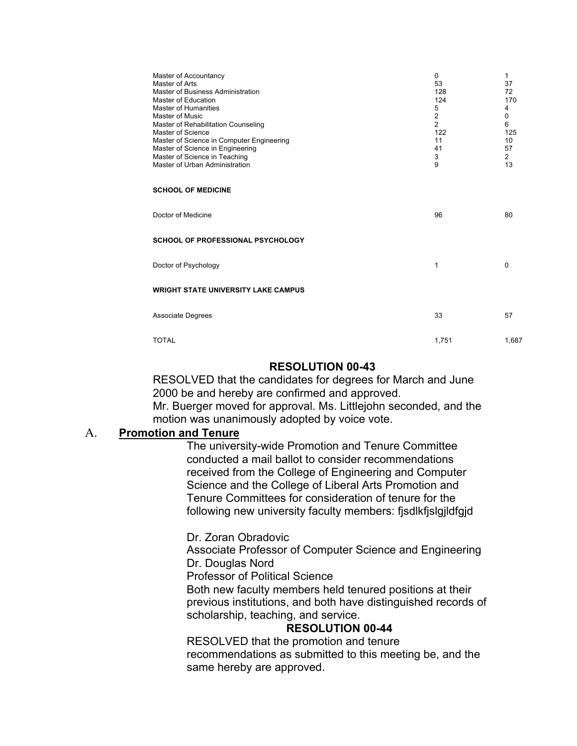| Master of Accountancy<br>Master of Arts<br>Master of Business Administration<br>Master of Education<br><b>Master of Humanities</b><br>Master of Music<br>Master of Rehabilitation Counseling<br>Master of Science<br>Master of Science in Computer Engineering<br>Master of Science in Engineering<br>Master of Science in Teaching<br>Master of Urban Administration | 0<br>53<br>128<br>124<br>5<br>$\overline{2}$<br>$\overline{2}$<br>122<br>11<br>41<br>3<br>9 | 1<br>37<br>72<br>170<br>4<br>0<br>6<br>125<br>10<br>57<br>$\overline{2}$<br>13 |  |
|-----------------------------------------------------------------------------------------------------------------------------------------------------------------------------------------------------------------------------------------------------------------------------------------------------------------------------------------------------------------------|---------------------------------------------------------------------------------------------|--------------------------------------------------------------------------------|--|
| <b>SCHOOL OF MEDICINE</b>                                                                                                                                                                                                                                                                                                                                             |                                                                                             |                                                                                |  |
| Doctor of Medicine                                                                                                                                                                                                                                                                                                                                                    | 96                                                                                          | 80                                                                             |  |
| <b>SCHOOL OF PROFESSIONAL PSYCHOLOGY</b>                                                                                                                                                                                                                                                                                                                              |                                                                                             |                                                                                |  |
| Doctor of Psychology                                                                                                                                                                                                                                                                                                                                                  | 1                                                                                           | $\Omega$                                                                       |  |
| <b>WRIGHT STATE UNIVERSITY LAKE CAMPUS</b>                                                                                                                                                                                                                                                                                                                            |                                                                                             |                                                                                |  |
| <b>Associate Degrees</b>                                                                                                                                                                                                                                                                                                                                              | 33                                                                                          | 57                                                                             |  |
| <b>TOTAL</b>                                                                                                                                                                                                                                                                                                                                                          | 1,751                                                                                       | 1,687                                                                          |  |

#### **RESOLUTION 00-43**

 RESOLVED that the candidates for degrees for March and June 2000 be and hereby are confirmed and approved. Mr. Buerger moved for approval. Ms. Littlejohn seconded, and the motion was unanimously adopted by voice vote.

## A. **Promotion and Tenure**

 The university-wide Promotion and Tenure Committee conducted a mail ballot to consider recommendations received from the College of Engineering and Computer Science and the College of Liberal Arts Promotion and Tenure Committees for consideration of tenure for the following new university faculty members: fjsdlkfjslgjldfgjd

Dr. Zoran Obradovic

 Associate Professor of Computer Science and Engineering Dr. Douglas Nord

Dr. Douglas Nord<br>Professor of Political Science

 Both new faculty members held tenured positions at their previous institutions, and both have distinguished records of scholarship, teaching, and service.

#### **RESOLUTION 00-44**

 RESOLVED that the promotion and tenure recommendations as submitted to this meeting be, and the same hereby are approved.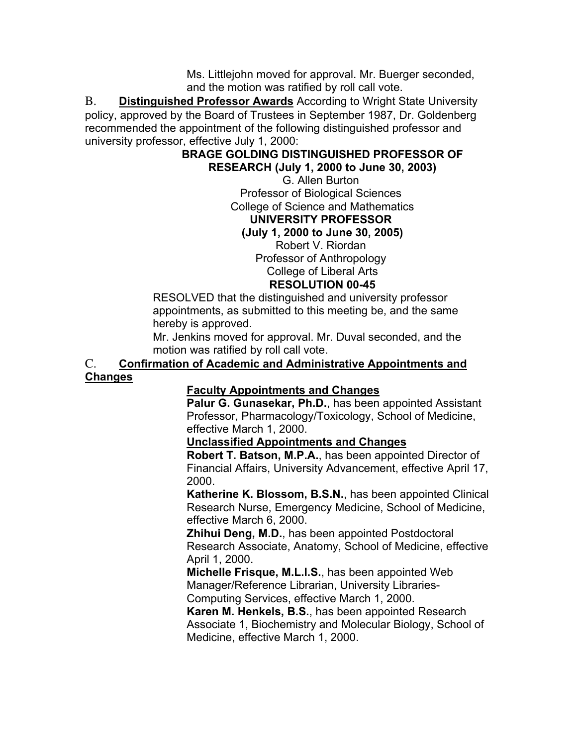Ms. Littlejohn moved for approval. Mr. Buerger seconded, and the motion was ratified by roll call vote.

 B. **Distinguished Professor Awards** According to Wright State University policy, approved by the Board of Trustees in September 1987, Dr. Goldenberg recommended the appointment of the following distinguished professor and university professor, effective July 1, 2000:

## **BRAGE GOLDING DISTINGUISHED PROFESSOR OF RESEARCH (July 1, 2000 to June 30, 2003)**

 G. Allen Burton Professor of Biological Sciences College of Science and Mathematics **UNIVERSITY PROFESSOR UNIVERSITY PROFESSOR (July 1, 2000 to June 30, 2005)** 

Robert V. Riordan

 Professor of Anthropology College of Liberal Arts College of Liberal Arts

## **RESOLUTION 00-45**

 RESOLVED that the distinguished and university professor appointments, as submitted to this meeting be, and the same hereby is approved.

 Mr. Jenkins moved for approval. Mr. Duval seconded, and the motion was ratified by roll call vote.

#### C. **Confirmation of Academic and Administrative Appointments and Changes**

## **Faculty Appointments and Changes**

 **Palur G. Gunasekar, Ph.D.**, has been appointed Assistant Professor, Pharmacology/Toxicology, School of Medicine, effective March 1, 2000.

 **Unclassified Appointments and Changes** 

 **Robert T. Batson, M.P.A.**, has been appointed Director of Financial Affairs, University Advancement, effective April 17, 2000.

 **Katherine K. Blossom, B.S.N.**, has been appointed Clinical Research Nurse, Emergency Medicine, School of Medicine, effective March 6, 2000.

 **Zhihui Deng, M.D.**, has been appointed Postdoctoral Research Associate, Anatomy, School of Medicine, effective April 1, 2000.

 **Michelle Frisque, M.L.I.S.**, has been appointed Web Manager/Reference Librarian, University Libraries-Computing Services, effective March 1, 2000.

 **Karen M. Henkels, B.S.**, has been appointed Research Associate 1, Biochemistry and Molecular Biology, School of Medicine, effective March 1, 2000.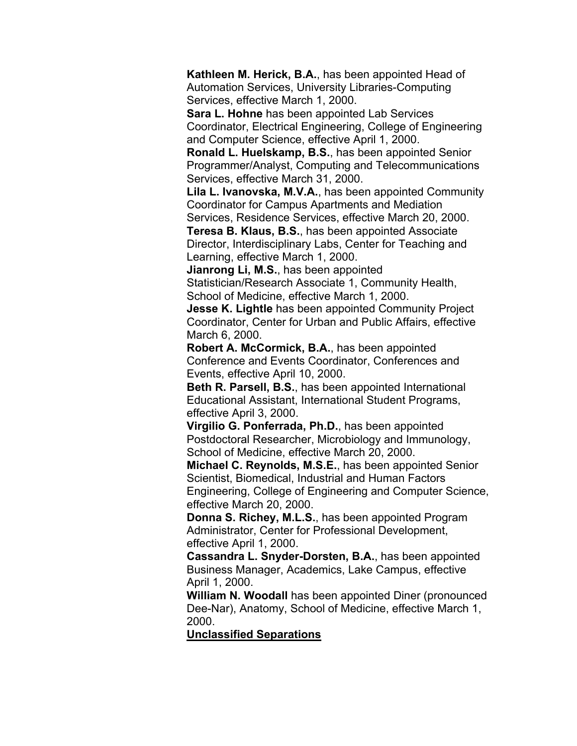**Kathleen M. Herick, B.A.**, has been appointed Head of Automation Services, University Libraries-Computing Services, effective March 1, 2000.

 **Sara L. Hohne** has been appointed Lab Services Coordinator, Electrical Engineering, College of Engineering and Computer Science, effective April 1, 2000.

 **Ronald L. Huelskamp, B.S.**, has been appointed Senior Programmer/Analyst, Computing and Telecommunications Services, effective March 31, 2000.

 **Lila L. Ivanovska, M.V.A.**, has been appointed Community Coordinator for Campus Apartments and Mediation

 Services, Residence Services, effective March 20, 2000.  **Teresa B. Klaus, B.S.**, has been appointed Associate Director, Interdisciplinary Labs, Center for Teaching and Learning, effective March 1, 2000.

 **Jianrong Li, M.S.**, has been appointed

 School of Medicine, effective March 1, 2000. Statistician/Research Associate 1, Community Health,

 **Jesse K. Lightle** has been appointed Community Project Coordinator, Center for Urban and Public Affairs, effective March 6, 2000.

 **Robert A. McCormick, B.A.**, has been appointed Conference and Events Coordinator, Conferences and Events, effective April 10, 2000.

 **Beth R. Parsell, B.S.**, has been appointed International Educational Assistant, International Student Programs, effective April 3, 2000.

 **Virgilio G. Ponferrada, Ph.D.**, has been appointed Postdoctoral Researcher, Microbiology and Immunology, School of Medicine, effective March 20, 2000.

 **Michael C. Reynolds, M.S.E.**, has been appointed Senior Scientist, Biomedical, Industrial and Human Factors Engineering, College of Engineering and Computer Science, effective March 20, 2000.

 **Donna S. Richey, M.L.S.**, has been appointed Program effective April 1, 2000. Administrator, Center for Professional Development,

 **Cassandra L. Snyder-Dorsten, B.A.**, has been appointed Business Manager, Academics, Lake Campus, effective April 1, 2000.

 **William N. Woodall** has been appointed Diner (pronounced Dee-Nar), Anatomy, School of Medicine, effective March 1, 2000.

**Unclassified Separations**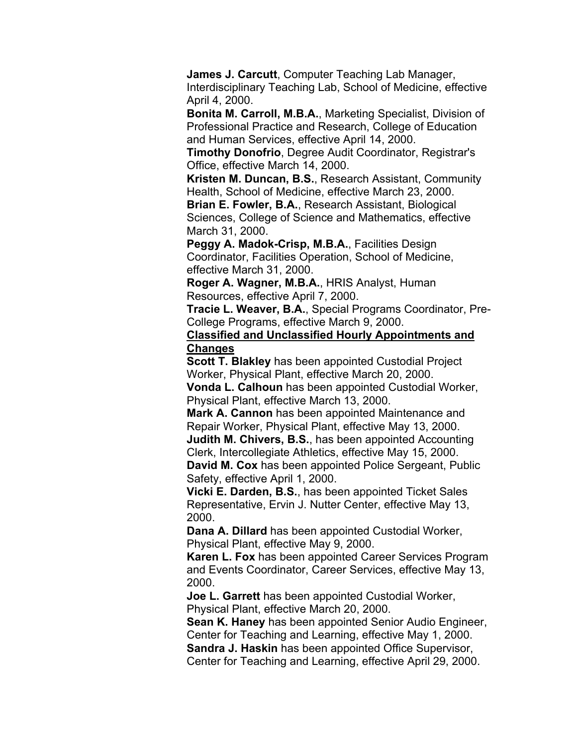**James J. Carcutt**, Computer Teaching Lab Manager, Interdisciplinary Teaching Lab, School of Medicine, effective April 4, 2000.

 **Bonita M. Carroll, M.B.A.**, Marketing Specialist, Division of Professional Practice and Research, College of Education and Human Services, effective April 14, 2000.

 **Timothy Donofrio**, Degree Audit Coordinator, Registrar's Office, effective March 14, 2000.

 **Kristen M. Duncan, B.S.**, Research Assistant, Community Health, School of Medicine, effective March 23, 2000.

 **Brian E. Fowler, B.A.**, Research Assistant, Biological Sciences, College of Science and Mathematics, effective March 31, 2000.

 **Peggy A. Madok-Crisp, M.B.A.**, Facilities Design Coordinator, Facilities Operation, School of Medicine, effective March 31, 2000.

 **Roger A. Wagner, M.B.A.**, HRIS Analyst, Human Resources, effective April 7, 2000.

 **Tracie L. Weaver, B.A.**, Special Programs Coordinator, Pre-College Programs, effective March 9, 2000.

 **Classified and Unclassified Hourly Appointments and Changes** 

 **Scott T. Blakley** has been appointed Custodial Project Worker, Physical Plant, effective March 20, 2000.

 **Vonda L. Calhoun** has been appointed Custodial Worker, Physical Plant, effective March 13, 2000.

 **Mark A. Cannon** has been appointed Maintenance and Repair Worker, Physical Plant, effective May 13, 2000.

 **Judith M. Chivers, B.S.**, has been appointed Accounting Clerk, Intercollegiate Athletics, effective May 15, 2000.

 **David M. Cox** has been appointed Police Sergeant, Public Safety, effective April 1, 2000.

 **Vicki E. Darden, B.S.**, has been appointed Ticket Sales Representative, Ervin J. Nutter Center, effective May 13, 2000.

 **Dana A. Dillard** has been appointed Custodial Worker, Physical Plant, effective May 9, 2000.

 **Karen L. Fox** has been appointed Career Services Program and Events Coordinator, Career Services, effective May 13, 2000.

 **Joe L. Garrett** has been appointed Custodial Worker, Physical Plant, effective March 20, 2000.

 **Sean K. Haney** has been appointed Senior Audio Engineer, Center for Teaching and Learning, effective May 1, 2000.

 **Sandra J. Haskin** has been appointed Office Supervisor, Center for Teaching and Learning, effective April 29, 2000.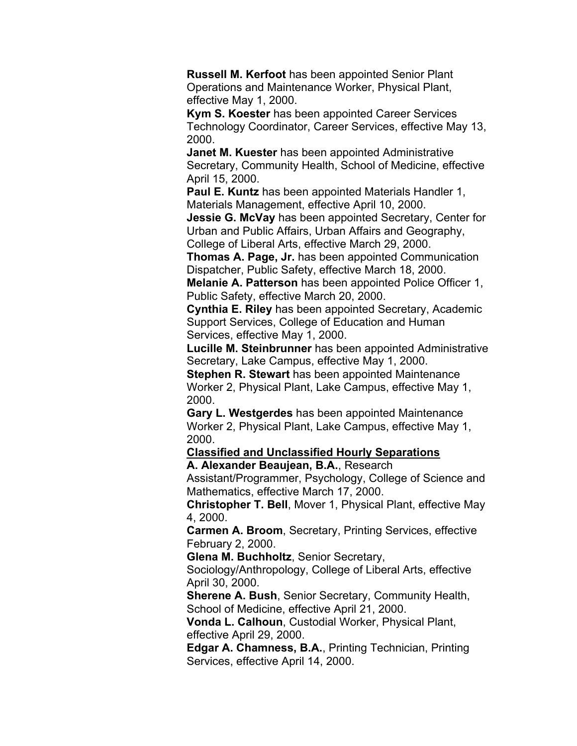**Russell M. Kerfoot** has been appointed Senior Plant Operations and Maintenance Worker, Physical Plant, effective May 1, 2000.

 **Kym S. Koester** has been appointed Career Services Technology Coordinator, Career Services, effective May 13, 2000.

 **Janet M. Kuester** has been appointed Administrative Secretary, Community Health, School of Medicine, effective April 15, 2000.

 **Paul E. Kuntz** has been appointed Materials Handler 1, Materials Management, effective April 10, 2000.

 **Jessie G. McVay** has been appointed Secretary, Center for Urban and Public Affairs, Urban Affairs and Geography, College of Liberal Arts, effective March 29, 2000.

 **Thomas A. Page, Jr.** has been appointed Communication Dispatcher, Public Safety, effective March 18, 2000.

 **Melanie A. Patterson** has been appointed Police Officer 1, Public Safety, effective March 20, 2000.

 **Cynthia E. Riley** has been appointed Secretary, Academic Support Services, College of Education and Human Services, effective May 1, 2000.

 **Lucille M. Steinbrunner** has been appointed Administrative Secretary, Lake Campus, effective May 1, 2000.

 **Stephen R. Stewart** has been appointed Maintenance Worker 2, Physical Plant, Lake Campus, effective May 1, 2000.

Gary L. Westgerdes has been appointed Maintenance Worker 2, Physical Plant, Lake Campus, effective May 1, 2000.

 **Classified and Unclassified Hourly Separations A. Alexander Beaujean, B.A.**, Research

 Assistant/Programmer, Psychology, College of Science and Mathematics, effective March 17, 2000.

 **Christopher T. Bell**, Mover 1, Physical Plant, effective May 4, 2000.

 **Carmen A. Broom**, Secretary, Printing Services, effective February 2, 2000.

 **Glena M. Buchholtz**, Senior Secretary,

 Sociology/Anthropology, College of Liberal Arts, effective April 30, 2000.

 **Sherene A. Bush**, Senior Secretary, Community Health, School of Medicine, effective April 21, 2000.

 **Vonda L. Calhoun**, Custodial Worker, Physical Plant, effective April 29, 2000.

 **Edgar A. Chamness, B.A.**, Printing Technician, Printing Services, effective April 14, 2000.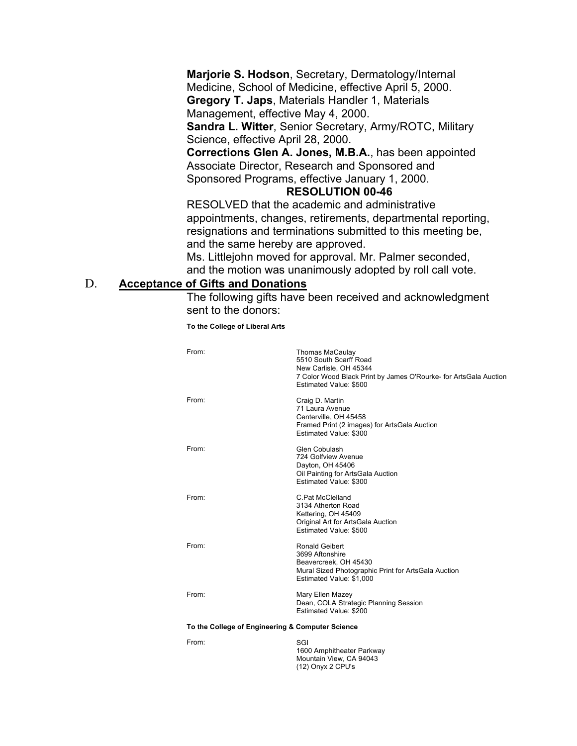**Marjorie S. Hodson**, Secretary, Dermatology/Internal Medicine, School of Medicine, effective April 5, 2000. **Gregory T. Japs**, Materials Handler 1, Materials

Management, effective May 4, 2000.

 **Sandra L. Witter**, Senior Secretary, Army/ROTC, Military Science, effective April 28, 2000.

 **Corrections Glen A. Jones, M.B.A.**, has been appointed Associate Director, Research and Sponsored and Sponsored Programs, effective January 1, 2000.

#### **RESOLUTION 00-46**

 RESOLVED that the academic and administrative appointments, changes, retirements, departmental reporting, resignations and terminations submitted to this meeting be, and the same hereby are approved.

 Ms. Littlejohn moved for approval. Mr. Palmer seconded, and the motion was unanimously adopted by roll call vote.

## D. **Acceptance of Gifts and Donations**

 The following gifts have been received and acknowledgment sent to the donors:

 **To the College of Liberal Arts** 

| From:                                            | <b>Thomas MaCaulay</b><br>5510 South Scarff Road<br>New Carlisle, OH 45344<br>7 Color Wood Black Print by James O'Rourke- for ArtsGala Auction<br>Estimated Value: \$500 |  |
|--------------------------------------------------|--------------------------------------------------------------------------------------------------------------------------------------------------------------------------|--|
| From:                                            | Craig D. Martin<br>71 Laura Avenue<br>Centerville, OH 45458<br>Framed Print (2 images) for ArtsGala Auction<br>Estimated Value: \$300                                    |  |
| From:                                            | Glen Cobulash<br>724 Golfview Avenue<br>Dayton, OH 45406<br>Oil Painting for ArtsGala Auction<br>Estimated Value: \$300                                                  |  |
| From:                                            | C.Pat McClelland<br>3134 Atherton Road<br>Kettering, OH 45409<br>Original Art for ArtsGala Auction<br>Estimated Value: \$500                                             |  |
| From:                                            | Ronald Geibert<br>3699 Aftonshire<br>Beavercreek. OH 45430<br>Mural Sized Photographic Print for ArtsGala Auction<br>Estimated Value: \$1,000                            |  |
| From:                                            | Mary Ellen Mazey<br>Dean, COLA Strategic Planning Session<br>Estimated Value: \$200                                                                                      |  |
| To the College of Engineering & Computer Science |                                                                                                                                                                          |  |
| From:                                            | SGI<br>1600 Amphitheater Parkway                                                                                                                                         |  |

 Mountain View, CA 94043 (12) Onyx 2 CPU's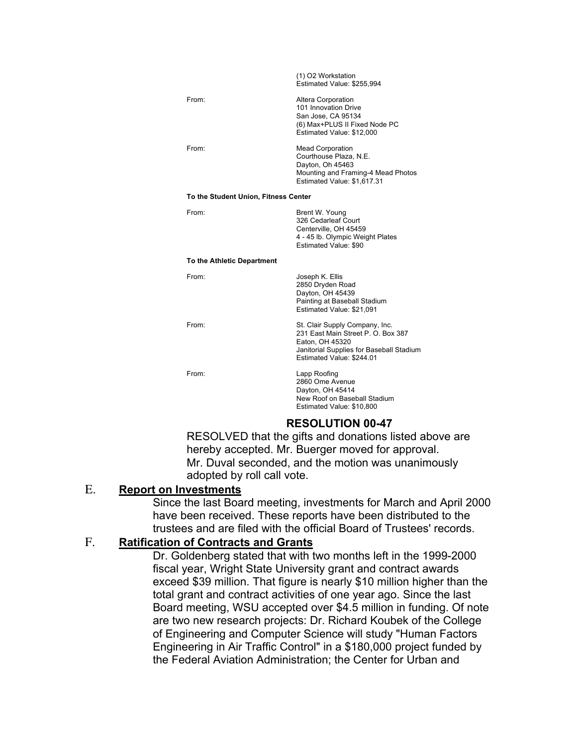|                                      | (1) O2 Workstation<br>Estimated Value: \$255,994                                                                                                                 |  |  |
|--------------------------------------|------------------------------------------------------------------------------------------------------------------------------------------------------------------|--|--|
| From:                                | Altera Corporation<br>101 Innovation Drive<br>San Jose, CA 95134<br>(6) Max+PLUS II Fixed Node PC<br>Estimated Value: \$12,000                                   |  |  |
| From:                                | <b>Mead Corporation</b><br>Courthouse Plaza, N.E.<br>Dayton, Oh 45463<br>Mounting and Framing-4 Mead Photos<br>Estimated Value: \$1,617.31                       |  |  |
| To the Student Union, Fitness Center |                                                                                                                                                                  |  |  |
| From:                                | Brent W. Young<br>326 Cedarleaf Court<br>Centerville, OH 45459<br>4 - 45 lb. Olympic Weight Plates<br>Estimated Value: \$90                                      |  |  |
| To the Athletic Department           |                                                                                                                                                                  |  |  |
| From:                                | Joseph K. Ellis<br>2850 Dryden Road<br>Dayton, OH 45439<br>Painting at Baseball Stadium<br>Estimated Value: \$21,091                                             |  |  |
| From:                                | St. Clair Supply Company, Inc.<br>231 East Main Street P. O. Box 387<br>Eaton, OH 45320<br>Janitorial Supplies for Baseball Stadium<br>Estimated Value: \$244.01 |  |  |
| From <sup>-</sup>                    | Lapp Roofing<br>2860 Ome Avenue<br>Dayton, OH 45414<br>New Roof on Baseball Stadium<br>Estimated Value: \$10,800                                                 |  |  |
| <b>RESOLUTION 00-47</b>              |                                                                                                                                                                  |  |  |

 RESOLVED that the gifts and donations listed above are hereby accepted. Mr. Buerger moved for approval. Mr. Duval seconded, and the motion was unanimously adopted by roll call vote.

## E. **Report on Investments**

 Since the last Board meeting, investments for March and April 2000 have been received. These reports have been distributed to the trustees and are filed with the official Board of Trustees' records.

## F. **Ratification of Contracts and Grants**

 Dr. Goldenberg stated that with two months left in the 1999-2000 fiscal year, Wright State University grant and contract awards exceed \$39 million. That figure is nearly \$10 million higher than the total grant and contract activities of one year ago. Since the last Board meeting, WSU accepted over \$4.5 million in funding. Of note are two new research projects: Dr. Richard Koubek of the College of Engineering and Computer Science will study "Human Factors Engineering in Air Traffic Control" in a \$180,000 project funded by the Federal Aviation Administration; the Center for Urban and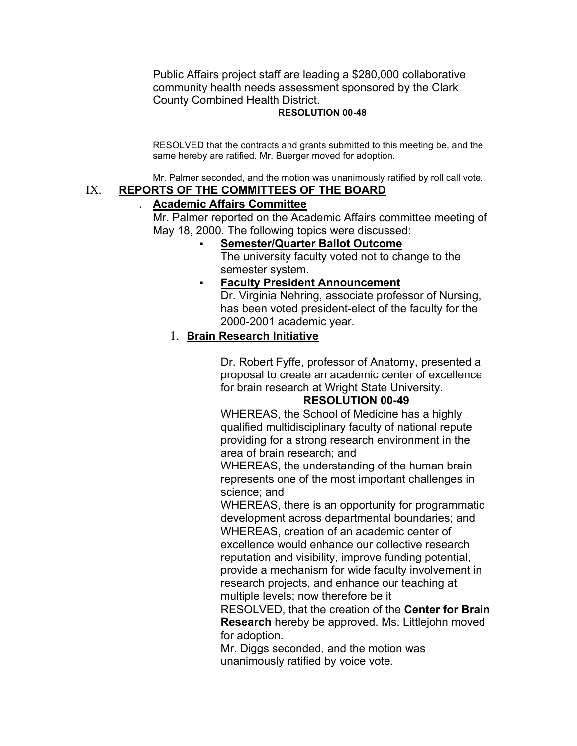Public Affairs project staff are leading a \$280,000 collaborative community health needs assessment sponsored by the Clark County Combined Health District.

#### **RESOLUTION 00-48**

 RESOLVED that the contracts and grants submitted to this meeting be, and the same hereby are ratified. Mr. Buerger moved for adoption.

Mr. Palmer seconded, and the motion was unanimously ratified by roll call vote.

## IX. **REPORTS OF THE COMMITTEES OF THE BOARD**

#### . **Academic Affairs Committee**

 Mr. Palmer reported on the Academic Affairs committee meeting of May 18, 2000. The following topics were discussed:

## • **Semester/Quarter Ballot Outcome**

 The university faculty voted not to change to the semester system.

# • **Faculty President Announcement**

 Dr. Virginia Nehring, associate professor of Nursing, has been voted president-elect of the faculty for the 2000-2001 academic year.

## 1. **Brain Research Initiative**

 Dr. Robert Fyffe, professor of Anatomy, presented a proposal to create an academic center of excellence for brain research at Wright State University.

#### **RESOLUTION 00-49**

 WHEREAS, the School of Medicine has a highly qualified multidisciplinary faculty of national repute providing for a strong research environment in the area of brain research; and

 WHEREAS, the understanding of the human brain represents one of the most important challenges in science; and

 WHEREAS, there is an opportunity for programmatic WHEREAS, creation of an academic center of excellence would enhance our collective research reputation and visibility, improve funding potential, provide a mechanism for wide faculty involvement in research projects, and enhance our teaching at multiple levels; now therefore be it development across departmental boundaries; and

 RESOLVED, that the creation of the **Center for Brain Research** hereby be approved. Ms. Littlejohn moved for adoption.

 Mr. Diggs seconded, and the motion was unanimously ratified by voice vote.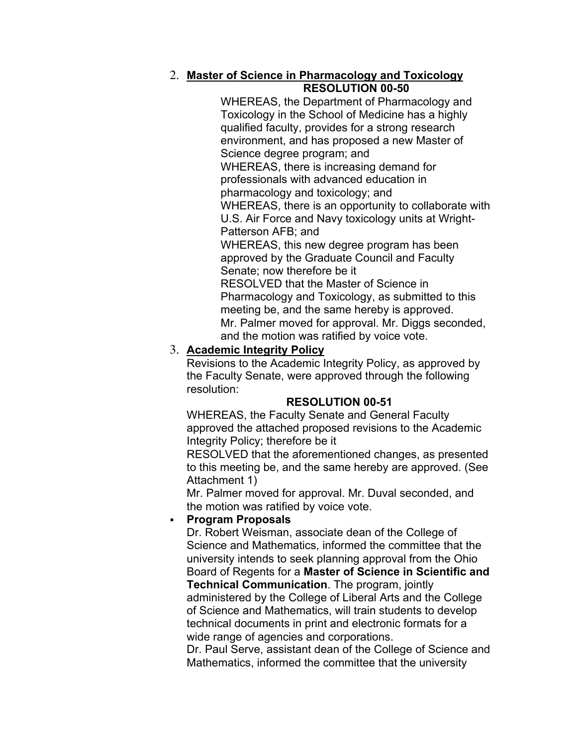## 2. **Master of Science in Pharmacology and Toxicology RESOLUTION 00-50**

 WHEREAS, the Department of Pharmacology and Toxicology in the School of Medicine has a highly qualified faculty, provides for a strong research environment, and has proposed a new Master of Science degree program; and WHEREAS, there is increasing demand for professionals with advanced education in pharmacology and toxicology; and

 WHEREAS, there is an opportunity to collaborate with U.S. Air Force and Navy toxicology units at Wright-Patterson AFB; and

 WHEREAS, this new degree program has been approved by the Graduate Council and Faculty Senate; now therefore be it RESOLVED that the Master of Science in Pharmacology and Toxicology, as submitted to this meeting be, and the same hereby is approved.

 Mr. Palmer moved for approval. Mr. Diggs seconded, and the motion was ratified by voice vote.

## 3. **Academic Integrity Policy**

 Revisions to the Academic Integrity Policy, as approved by the Faculty Senate, were approved through the following resolution:

## **RESOLUTION 00-51**

 WHEREAS, the Faculty Senate and General Faculty approved the attached proposed revisions to the Academic Integrity Policy; therefore be it

 RESOLVED that the aforementioned changes, as presented to this meeting be, and the same hereby are approved. (See Attachment 1)

 Mr. Palmer moved for approval. Mr. Duval seconded, and the motion was ratified by voice vote.

## • **Program Proposals**

 Dr. Robert Weisman, associate dean of the College of Science and Mathematics, informed the committee that the university intends to seek planning approval from the Ohio Board of Regents for a **Master of Science in Scientific and Technical Communication**. The program, jointly administered by the College of Liberal Arts and the College of Science and Mathematics, will train students to develop technical documents in print and electronic formats for a wide range of agencies and corporations.

 Dr. Paul Serve, assistant dean of the College of Science and Mathematics, informed the committee that the university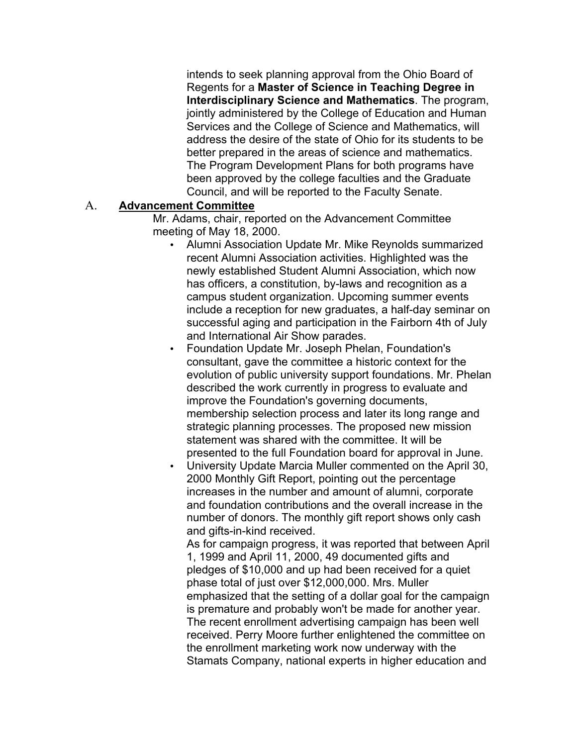intends to seek planning approval from the Ohio Board of  Regents for a **Master of Science in Teaching Degree in Interdisciplinary Science and Mathematics**. The program, jointly administered by the College of Education and Human Services and the College of Science and Mathematics, will address the desire of the state of Ohio for its students to be better prepared in the areas of science and mathematics. The Program Development Plans for both programs have been approved by the college faculties and the Graduate Council, and will be reported to the Faculty Senate.

#### A. **Advancement Committee**

 Mr. Adams, chair, reported on the Advancement Committee meeting of May 18, 2000.

- • Alumni Association Update Mr. Mike Reynolds summarized recent Alumni Association activities. Highlighted was the newly established Student Alumni Association, which now has officers, a constitution, by-laws and recognition as a campus student organization. Upcoming summer events include a reception for new graduates, a half-day seminar on successful aging and participation in the Fairborn 4th of July and International Air Show parades.
- • Foundation Update Mr. Joseph Phelan, Foundation's consultant, gave the committee a historic context for the evolution of public university support foundations. Mr. Phelan described the work currently in progress to evaluate and improve the Foundation's governing documents, membership selection process and later its long range and strategic planning processes. The proposed new mission statement was shared with the committee. It will be presented to the full Foundation board for approval in June.
- • University Update Marcia Muller commented on the April 30, 2000 Monthly Gift Report, pointing out the percentage increases in the number and amount of alumni, corporate and foundation contributions and the overall increase in the number of donors. The monthly gift report shows only cash and gifts-in-kind received.

 As for campaign progress, it was reported that between April 1, 1999 and April 11, 2000, 49 documented gifts and pledges of \$10,000 and up had been received for a quiet phase total of just over \$12,000,000. Mrs. Muller emphasized that the setting of a dollar goal for the campaign is premature and probably won't be made for another year. The recent enrollment advertising campaign has been well received. Perry Moore further enlightened the committee on the enrollment marketing work now underway with the Stamats Company, national experts in higher education and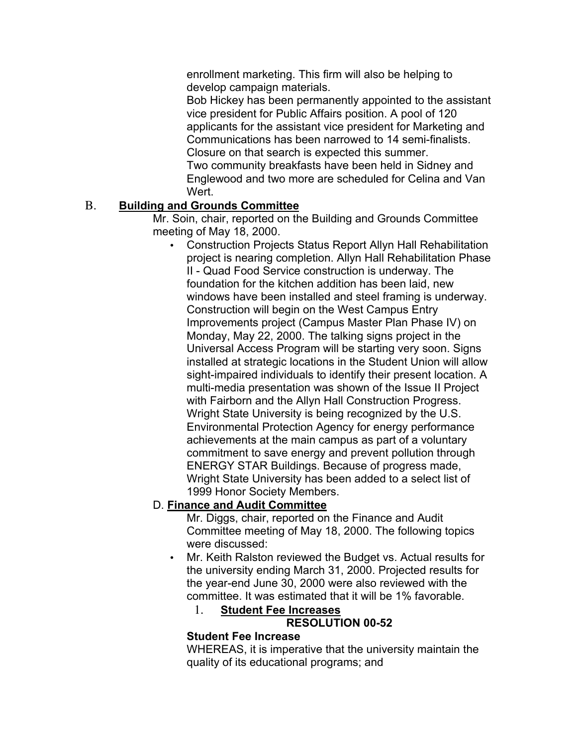enrollment marketing. This firm will also be helping to develop campaign materials.

 Bob Hickey has been permanently appointed to the assistant vice president for Public Affairs position. A pool of 120 applicants for the assistant vice president for Marketing and Communications has been narrowed to 14 semi-finalists. Closure on that search is expected this summer. Two community breakfasts have been held in Sidney and Englewood and two more are scheduled for Celina and Van Wert.

## B. **Building and Grounds Committee**

 Mr. Soin, chair, reported on the Building and Grounds Committee meeting of May 18, 2000.

 • Construction Projects Status Report Allyn Hall Rehabilitation project is nearing completion. Allyn Hall Rehabilitation Phase II - Quad Food Service construction is underway. The foundation for the kitchen addition has been laid, new windows have been installed and steel framing is underway. Construction will begin on the West Campus Entry Improvements project (Campus Master Plan Phase IV) on Monday, May 22, 2000. The talking signs project in the Universal Access Program will be starting very soon. Signs installed at strategic locations in the Student Union will allow sight-impaired individuals to identify their present location. A multi-media presentation was shown of the Issue II Project with Fairborn and the Allyn Hall Construction Progress. Wright State University is being recognized by the U.S. Environmental Protection Agency for energy performance achievements at the main campus as part of a voluntary commitment to save energy and prevent pollution through ENERGY STAR Buildings. Because of progress made, Wright State University has been added to a select list of 1999 Honor Society Members.

## D. **Finance and Audit Committee**

 Mr. Diggs, chair, reported on the Finance and Audit Committee meeting of May 18, 2000. The following topics were discussed:

 • Mr. Keith Ralston reviewed the Budget vs. Actual results for the university ending March 31, 2000. Projected results for the year-end June 30, 2000 were also reviewed with the committee. It was estimated that it will be 1% favorable.

1. **Student Fee Increases** 

#### **RESOLUTION 00-52**

#### **Student Fee Increase**

 WHEREAS, it is imperative that the university maintain the quality of its educational programs; and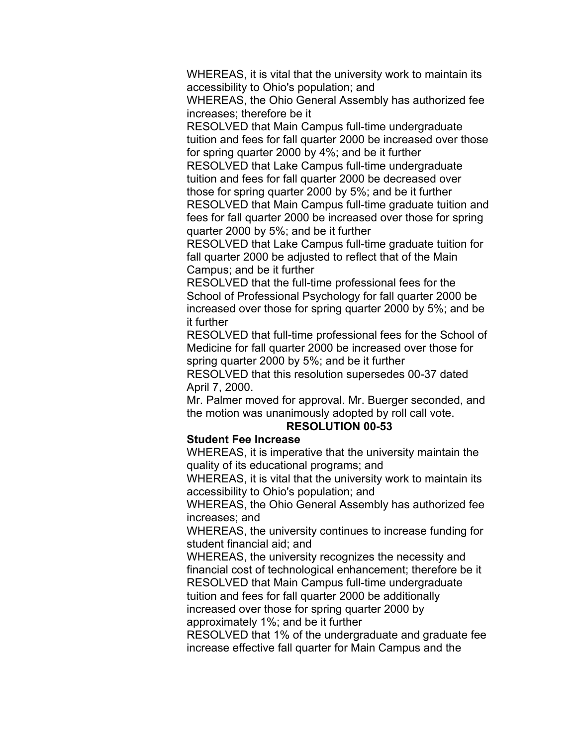WHEREAS, it is vital that the university work to maintain its accessibility to Ohio's population; and

 WHEREAS, the Ohio General Assembly has authorized fee increases; therefore be it

 RESOLVED that Main Campus full-time undergraduate tuition and fees for fall quarter 2000 be increased over those for spring quarter 2000 by 4%; and be it further

 RESOLVED that Lake Campus full-time undergraduate tuition and fees for fall quarter 2000 be decreased over those for spring quarter 2000 by 5%; and be it further RESOLVED that Main Campus full-time graduate tuition and fees for fall quarter 2000 be increased over those for spring quarter 2000 by 5%; and be it further

 RESOLVED that Lake Campus full-time graduate tuition for fall quarter 2000 be adjusted to reflect that of the Main Campus; and be it further

 RESOLVED that the full-time professional fees for the School of Professional Psychology for fall quarter 2000 be increased over those for spring quarter 2000 by 5%; and be it further

 RESOLVED that full-time professional fees for the School of Medicine for fall quarter 2000 be increased over those for spring quarter 2000 by 5%; and be it further

 RESOLVED that this resolution supersedes 00-37 dated April 7, 2000.

 Mr. Palmer moved for approval. Mr. Buerger seconded, and the motion was unanimously adopted by roll call vote.

#### **RESOLUTION 00-53**

#### **Student Fee Increase**

 WHEREAS, it is imperative that the university maintain the quality of its educational programs; and

 WHEREAS, it is vital that the university work to maintain its accessibility to Ohio's population; and

 WHEREAS, the Ohio General Assembly has authorized fee increases; and

 WHEREAS, the university continues to increase funding for student financial aid; and

 WHEREAS, the university recognizes the necessity and financial cost of technological enhancement; therefore be it RESOLVED that Main Campus full-time undergraduate tuition and fees for fall quarter 2000 be additionally increased over those for spring quarter 2000 by

approximately 1%; and be it further

 RESOLVED that 1% of the undergraduate and graduate fee increase effective fall quarter for Main Campus and the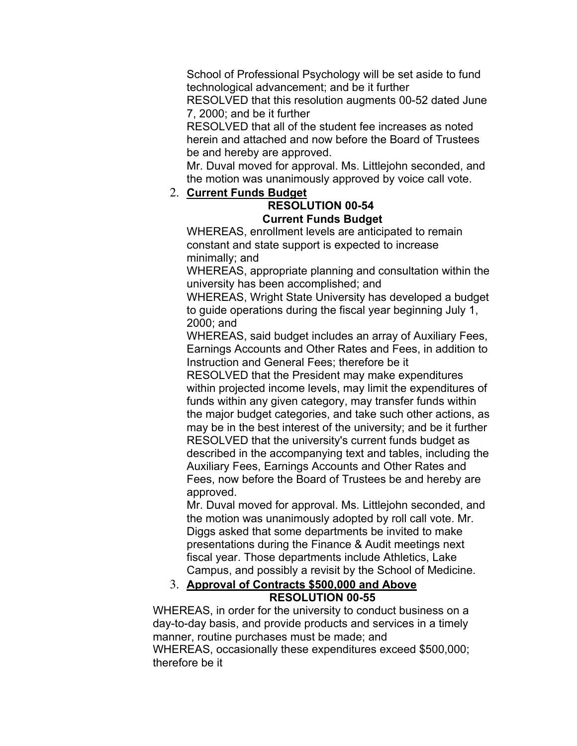School of Professional Psychology will be set aside to fund technological advancement; and be it further

 RESOLVED that this resolution augments 00-52 dated June 7, 2000; and be it further

 RESOLVED that all of the student fee increases as noted herein and attached and now before the Board of Trustees be and hereby are approved.

 Mr. Duval moved for approval. Ms. Littlejohn seconded, and the motion was unanimously approved by voice call vote.

## 2. **Current Funds Budget**

#### **RESOLUTION 00-54 Current Funds Budget**

 WHEREAS, enrollment levels are anticipated to remain constant and state support is expected to increase minimally; and

 WHEREAS, appropriate planning and consultation within the university has been accomplished; and

 WHEREAS, Wright State University has developed a budget to guide operations during the fiscal year beginning July 1, 2000; and

 WHEREAS, said budget includes an array of Auxiliary Fees, Earnings Accounts and Other Rates and Fees, in addition to Instruction and General Fees; therefore be it

 RESOLVED that the President may make expenditures within projected income levels, may limit the expenditures of funds within any given category, may transfer funds within the major budget categories, and take such other actions, as may be in the best interest of the university; and be it further RESOLVED that the university's current funds budget as described in the accompanying text and tables, including the Auxiliary Fees, Earnings Accounts and Other Rates and Fees, now before the Board of Trustees be and hereby are approved.

 Mr. Duval moved for approval. Ms. Littlejohn seconded, and the motion was unanimously adopted by roll call vote. Mr. Diggs asked that some departments be invited to make presentations during the Finance & Audit meetings next fiscal year. Those departments include Athletics, Lake Campus, and possibly a revisit by the School of Medicine.

## 3. **Approval of Contracts \$500,000 and Above RESOLUTION 00-55**

 WHEREAS, in order for the university to conduct business on a day-to-day basis, and provide products and services in a timely manner, routine purchases must be made; and WHEREAS, occasionally these expenditures exceed \$500,000; therefore be it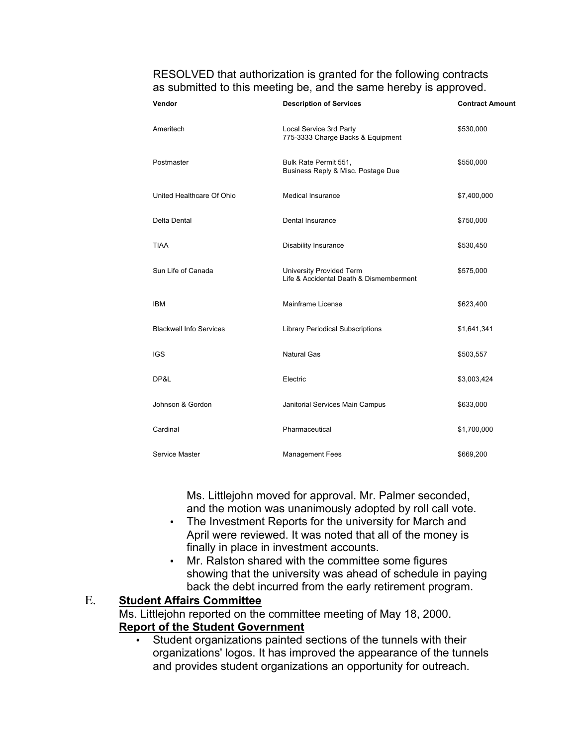RESOLVED that authorization is granted for the following contracts as submitted to this meeting be, and the same hereby is approved.

| Vendor                         | <b>Description of Services</b>                                      | <b>Contract Amount</b> |
|--------------------------------|---------------------------------------------------------------------|------------------------|
| Ameritech                      | Local Service 3rd Party<br>775-3333 Charge Backs & Equipment        | \$530,000              |
| Postmaster                     | Bulk Rate Permit 551,<br>Business Reply & Misc. Postage Due         | \$550,000              |
| United Healthcare Of Ohio      | <b>Medical Insurance</b>                                            | \$7,400,000            |
| Delta Dental                   | Dental Insurance                                                    | \$750,000              |
| <b>TIAA</b>                    | <b>Disability Insurance</b>                                         | \$530,450              |
| Sun Life of Canada             | University Provided Term<br>Life & Accidental Death & Dismemberment | \$575,000              |
| <b>IBM</b>                     | <b>Mainframe License</b>                                            | \$623,400              |
| <b>Blackwell Info Services</b> | <b>Library Periodical Subscriptions</b>                             | \$1,641,341            |
| <b>IGS</b>                     | <b>Natural Gas</b>                                                  | \$503,557              |
| DP&L                           | Electric                                                            | \$3,003,424            |
| Johnson & Gordon               | Janitorial Services Main Campus                                     | \$633,000              |
| Cardinal                       | Pharmaceutical                                                      | \$1,700,000            |
| Service Master                 | <b>Management Fees</b>                                              | \$669,200              |

 Ms. Littlejohn moved for approval. Mr. Palmer seconded, and the motion was unanimously adopted by roll call vote.

- • The Investment Reports for the university for March and April were reviewed. It was noted that all of the money is finally in place in investment accounts.
- • Mr. Ralston shared with the committee some figures showing that the university was ahead of schedule in paying back the debt incurred from the early retirement program.

## E. **Student Affairs Committee**

 Ms. Littlejohn reported on the committee meeting of May 18, 2000. **Report of the Student Government** 

 • Student organizations painted sections of the tunnels with their organizations' logos. It has improved the appearance of the tunnels and provides student organizations an opportunity for outreach.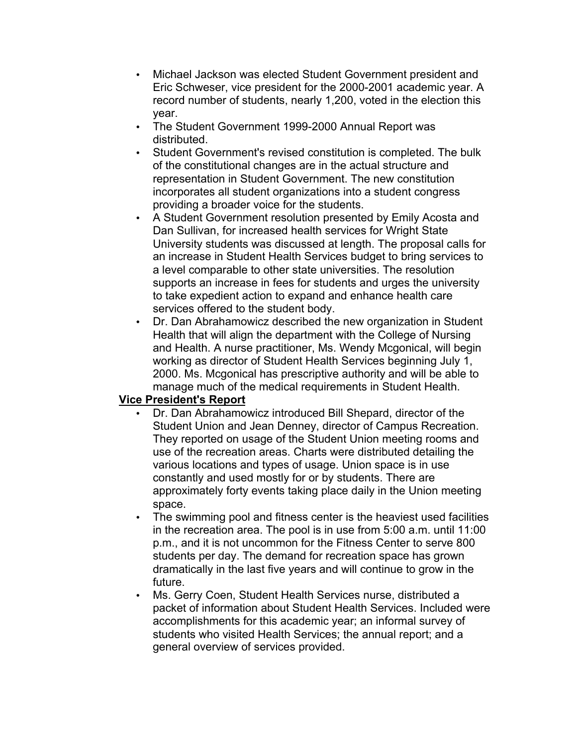- • Michael Jackson was elected Student Government president and Eric Schweser, vice president for the 2000-2001 academic year. A record number of students, nearly 1,200, voted in the election this year.
- • The Student Government 1999-2000 Annual Report was distributed.
- • Student Government's revised constitution is completed. The bulk of the constitutional changes are in the actual structure and representation in Student Government. The new constitution incorporates all student organizations into a student congress providing a broader voice for the students.
- • A Student Government resolution presented by Emily Acosta and Dan Sullivan, for increased health services for Wright State University students was discussed at length. The proposal calls for an increase in Student Health Services budget to bring services to a level comparable to other state universities. The resolution supports an increase in fees for students and urges the university to take expedient action to expand and enhance health care services offered to the student body.
- • Dr. Dan Abrahamowicz described the new organization in Student Health that will align the department with the College of Nursing and Health. A nurse practitioner, Ms. Wendy Mcgonical, will begin working as director of Student Health Services beginning July 1, 2000. Ms. Mcgonical has prescriptive authority and will be able to manage much of the medical requirements in Student Health.

#### **Vice President's Report**

- • Dr. Dan Abrahamowicz introduced Bill Shepard, director of the Student Union and Jean Denney, director of Campus Recreation. They reported on usage of the Student Union meeting rooms and use of the recreation areas. Charts were distributed detailing the various locations and types of usage. Union space is in use constantly and used mostly for or by students. There are approximately forty events taking place daily in the Union meeting space.
- • The swimming pool and fitness center is the heaviest used facilities in the recreation area. The pool is in use from 5:00 a.m. until 11:00 p.m., and it is not uncommon for the Fitness Center to serve 800 students per day. The demand for recreation space has grown dramatically in the last five years and will continue to grow in the future.
- • Ms. Gerry Coen, Student Health Services nurse, distributed a packet of information about Student Health Services. Included were accomplishments for this academic year; an informal survey of students who visited Health Services; the annual report; and a general overview of services provided.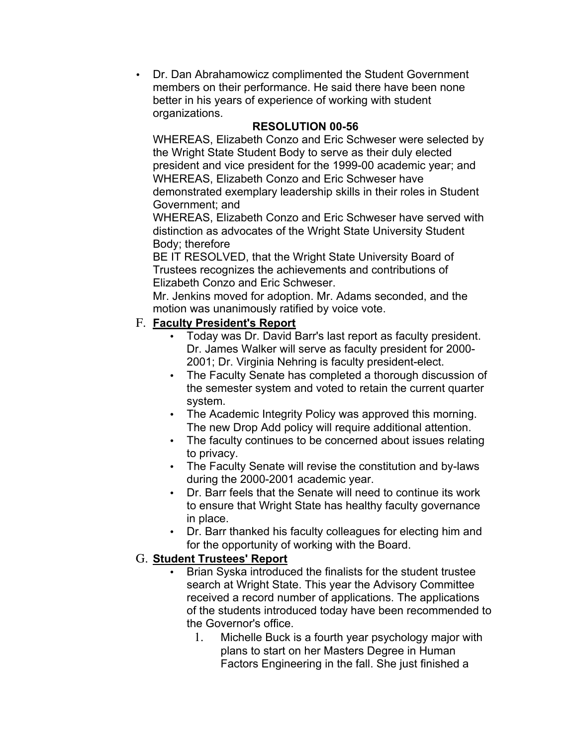• Dr. Dan Abrahamowicz complimented the Student Government members on their performance. He said there have been none better in his years of experience of working with student organizations.

## **RESOLUTION 00-56**

 WHEREAS, Elizabeth Conzo and Eric Schweser were selected by the Wright State Student Body to serve as their duly elected president and vice president for the 1999-00 academic year; and WHEREAS, Elizabeth Conzo and Eric Schweser have demonstrated exemplary leadership skills in their roles in Student Government; and

 WHEREAS, Elizabeth Conzo and Eric Schweser have served with distinction as advocates of the Wright State University Student Body; therefore

 BE IT RESOLVED, that the Wright State University Board of Elizabeth Conzo and Eric Schweser. Trustees recognizes the achievements and contributions of

 Mr. Jenkins moved for adoption. Mr. Adams seconded, and the motion was unanimously ratified by voice vote.

## F. **Faculty President's Report**

- • Today was Dr. David Barr's last report as faculty president. Dr. James Walker will serve as faculty president for 2000- 2001; Dr. Virginia Nehring is faculty president-elect.
- • The Faculty Senate has completed a thorough discussion of the semester system and voted to retain the current quarter system.
- • The Academic Integrity Policy was approved this morning. The new Drop Add policy will require additional attention.
- • The faculty continues to be concerned about issues relating to privacy.
- • The Faculty Senate will revise the constitution and by-laws during the 2000-2001 academic year.
- • Dr. Barr feels that the Senate will need to continue its work to ensure that Wright State has healthy faculty governance in place.
- • Dr. Barr thanked his faculty colleagues for electing him and for the opportunity of working with the Board.

## G. **Student Trustees' Report**

- • Brian Syska introduced the finalists for the student trustee search at Wright State. This year the Advisory Committee received a record number of applications. The applications of the students introduced today have been recommended to the Governor's office.
	- 1. Michelle Buck is a fourth year psychology major with plans to start on her Masters Degree in Human Factors Engineering in the fall. She just finished a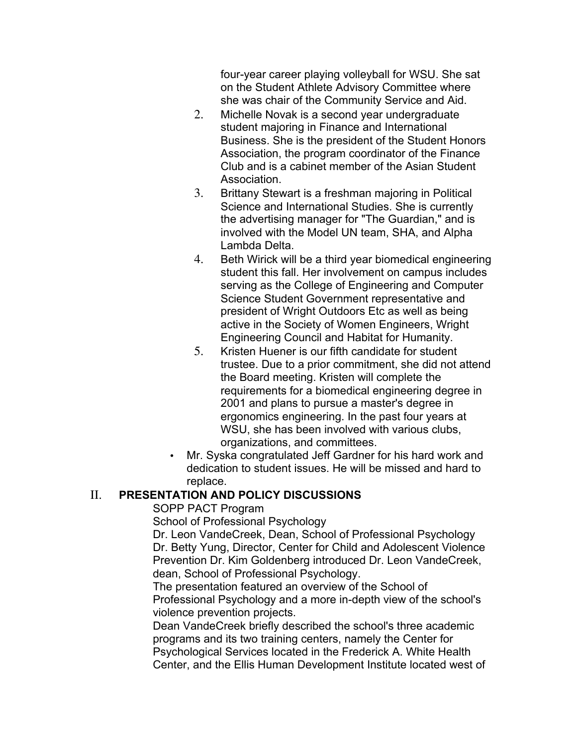four-year career playing volleyball for WSU. She sat on the Student Athlete Advisory Committee where she was chair of the Community Service and Aid.

- 2. Michelle Novak is a second year undergraduate student majoring in Finance and International Business. She is the president of the Student Honors Association, the program coordinator of the Finance Club and is a cabinet member of the Asian Student **Association**
- 3. Brittany Stewart is a freshman majoring in Political Science and International Studies. She is currently the advertising manager for "The Guardian," and is involved with the Model UN team, SHA, and Alpha Lambda Delta.
- 4. Beth Wirick will be a third year biomedical engineering student this fall. Her involvement on campus includes serving as the College of Engineering and Computer Science Student Government representative and president of Wright Outdoors Etc as well as being active in the Society of Women Engineers, Wright Engineering Council and Habitat for Humanity.
- 5. Kristen Huener is our fifth candidate for student trustee. Due to a prior commitment, she did not attend the Board meeting. Kristen will complete the requirements for a biomedical engineering degree in 2001 and plans to pursue a master's degree in ergonomics engineering. In the past four years at WSU, she has been involved with various clubs, organizations, and committees.
- • Mr. Syska congratulated Jeff Gardner for his hard work and dedication to student issues. He will be missed and hard to replace.

# II. **PRESENTATION AND POLICY DISCUSSIONS**

SOPP PACT Program

School of Professional Psychology

 Dr. Leon VandeCreek, Dean, School of Professional Psychology Dr. Betty Yung, Director, Center for Child and Adolescent Violence Prevention Dr. Kim Goldenberg introduced Dr. Leon VandeCreek, dean, School of Professional Psychology.

 The presentation featured an overview of the School of Professional Psychology and a more in-depth view of the school's violence prevention projects.

 Dean VandeCreek briefly described the school's three academic programs and its two training centers, namely the Center for Psychological Services located in the Frederick A. White Health Center, and the Ellis Human Development Institute located west of